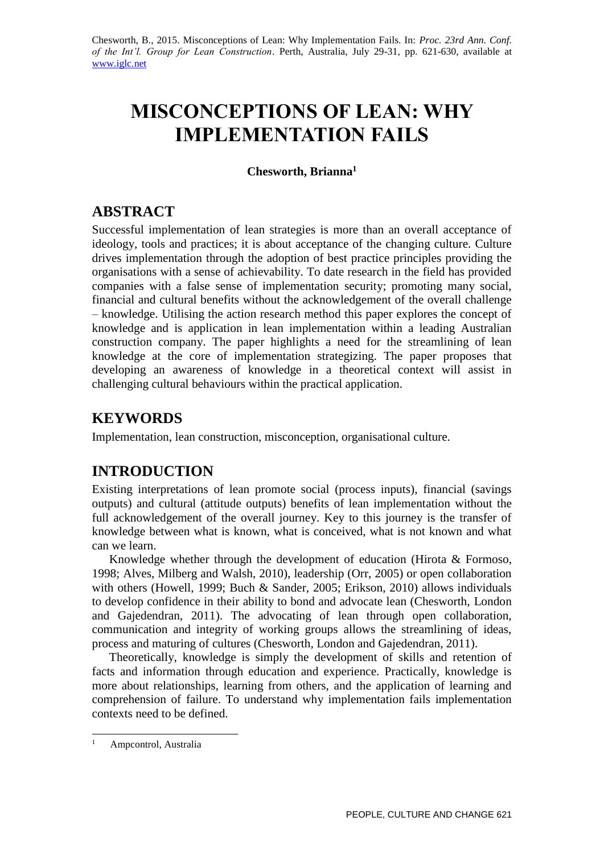# **MISCONCEPTIONS OF LEAN: WHY IMPLEMENTATION FAILS**

### **Chesworth, Brianna<sup>1</sup>**

# **ABSTRACT**

Successful implementation of lean strategies is more than an overall acceptance of ideology, tools and practices; it is about acceptance of the changing culture. Culture drives implementation through the adoption of best practice principles providing the organisations with a sense of achievability. To date research in the field has provided companies with a false sense of implementation security; promoting many social, financial and cultural benefits without the acknowledgement of the overall challenge – knowledge. Utilising the action research method this paper explores the concept of knowledge and is application in lean implementation within a leading Australian construction company. The paper highlights a need for the streamlining of lean knowledge at the core of implementation strategizing. The paper proposes that developing an awareness of knowledge in a theoretical context will assist in challenging cultural behaviours within the practical application.

# **KEYWORDS**

Implementation, lean construction, misconception, organisational culture.

# **INTRODUCTION**

Existing interpretations of lean promote social (process inputs), financial (savings outputs) and cultural (attitude outputs) benefits of lean implementation without the full acknowledgement of the overall journey. Key to this journey is the transfer of knowledge between what is known, what is conceived, what is not known and what can we learn.

Knowledge whether through the development of education (Hirota & Formoso, 1998; Alves, Milberg and Walsh, 2010), leadership (Orr, 2005) or open collaboration with others (Howell, 1999; Buch & Sander, 2005; Erikson, 2010) allows individuals to develop confidence in their ability to bond and advocate lean (Chesworth, London and Gajedendran, 2011). The advocating of lean through open collaboration, communication and integrity of working groups allows the streamlining of ideas, process and maturing of cultures (Chesworth, London and Gajedendran, 2011).

Theoretically, knowledge is simply the development of skills and retention of facts and information through education and experience. Practically, knowledge is more about relationships, learning from others, and the application of learning and comprehension of failure. To understand why implementation fails implementation contexts need to be defined.

1

<sup>1</sup> Ampcontrol, Australia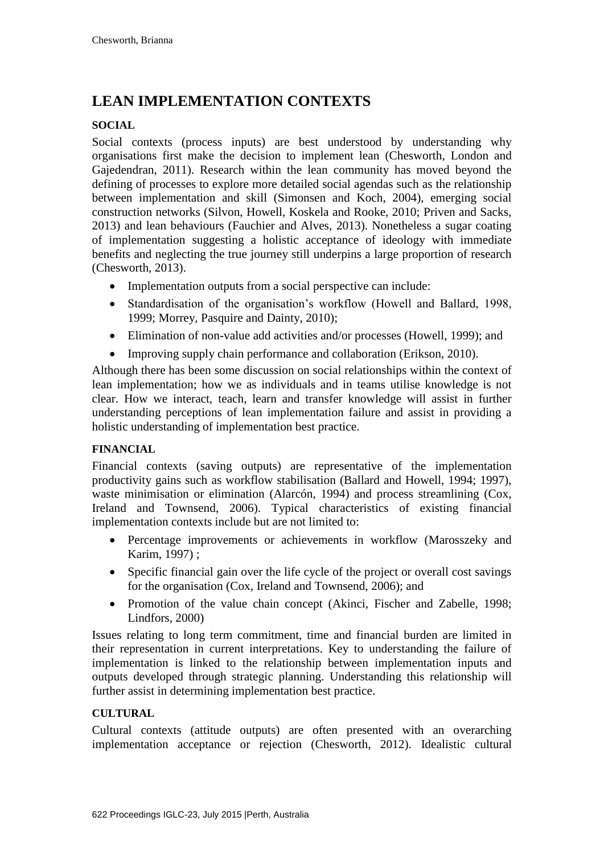# **LEAN IMPLEMENTATION CONTEXTS**

#### **SOCIAL**

Social contexts (process inputs) are best understood by understanding why organisations first make the decision to implement lean (Chesworth, London and Gajedendran, 2011). Research within the lean community has moved beyond the defining of processes to explore more detailed social agendas such as the relationship between implementation and skill (Simonsen and Koch, 2004), emerging social construction networks (Silvon, Howell, Koskela and Rooke, 2010; Priven and Sacks, 2013) and lean behaviours (Fauchier and Alves, 2013). Nonetheless a sugar coating of implementation suggesting a holistic acceptance of ideology with immediate benefits and neglecting the true journey still underpins a large proportion of research (Chesworth, 2013).

- Implementation outputs from a social perspective can include:
- Standardisation of the organisation's workflow (Howell and Ballard, 1998, 1999; Morrey, Pasquire and Dainty, 2010);
- Elimination of non-value add activities and/or processes (Howell, 1999); and
- Improving supply chain performance and collaboration (Erikson, 2010).

Although there has been some discussion on social relationships within the context of lean implementation; how we as individuals and in teams utilise knowledge is not clear. How we interact, teach, learn and transfer knowledge will assist in further understanding perceptions of lean implementation failure and assist in providing a holistic understanding of implementation best practice.

#### **FINANCIAL**

Financial contexts (saving outputs) are representative of the implementation productivity gains such as workflow stabilisation (Ballard and Howell, 1994; 1997), waste minimisation or elimination (Alarcón, 1994) and process streamlining (Cox, Ireland and Townsend, 2006). Typical characteristics of existing financial implementation contexts include but are not limited to:

- Percentage improvements or achievements in workflow (Marosszeky and Karim, 1997) ;
- Specific financial gain over the life cycle of the project or overall cost savings for the organisation (Cox, Ireland and Townsend, 2006); and
- Promotion of the value chain concept (Akinci, Fischer and Zabelle, 1998; Lindfors, 2000)

Issues relating to long term commitment, time and financial burden are limited in their representation in current interpretations. Key to understanding the failure of implementation is linked to the relationship between implementation inputs and outputs developed through strategic planning. Understanding this relationship will further assist in determining implementation best practice.

#### **CULTURAL**

Cultural contexts (attitude outputs) are often presented with an overarching implementation acceptance or rejection (Chesworth, 2012). Idealistic cultural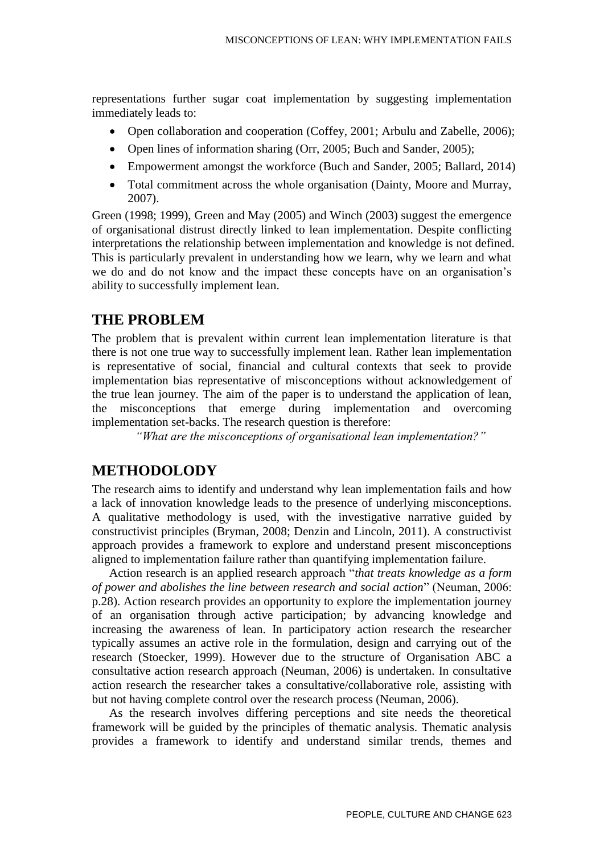representations further sugar coat implementation by suggesting implementation immediately leads to:

- Open collaboration and cooperation (Coffey, 2001; Arbulu and Zabelle, 2006);
- Open lines of information sharing (Orr, 2005; Buch and Sander, 2005);
- Empowerment amongst the workforce (Buch and Sander, 2005; Ballard, 2014)
- Total commitment across the whole organisation (Dainty, Moore and Murray, 2007).

Green (1998; 1999), Green and May (2005) and Winch (2003) suggest the emergence of organisational distrust directly linked to lean implementation. Despite conflicting interpretations the relationship between implementation and knowledge is not defined. This is particularly prevalent in understanding how we learn, why we learn and what we do and do not know and the impact these concepts have on an organisation's ability to successfully implement lean.

### **THE PROBLEM**

The problem that is prevalent within current lean implementation literature is that there is not one true way to successfully implement lean. Rather lean implementation is representative of social, financial and cultural contexts that seek to provide implementation bias representative of misconceptions without acknowledgement of the true lean journey. The aim of the paper is to understand the application of lean, the misconceptions that emerge during implementation and overcoming implementation set-backs. The research question is therefore:

*"What are the misconceptions of organisational lean implementation?"*

### **METHODOLODY**

The research aims to identify and understand why lean implementation fails and how a lack of innovation knowledge leads to the presence of underlying misconceptions. A qualitative methodology is used, with the investigative narrative guided by constructivist principles (Bryman, 2008; Denzin and Lincoln, 2011). A constructivist approach provides a framework to explore and understand present misconceptions aligned to implementation failure rather than quantifying implementation failure.

Action research is an applied research approach "*that treats knowledge as a form of power and abolishes the line between research and social action*" (Neuman, 2006: p.28). Action research provides an opportunity to explore the implementation journey of an organisation through active participation; by advancing knowledge and increasing the awareness of lean. In participatory action research the researcher typically assumes an active role in the formulation, design and carrying out of the research (Stoecker, 1999). However due to the structure of Organisation ABC a consultative action research approach (Neuman, 2006) is undertaken. In consultative action research the researcher takes a consultative/collaborative role, assisting with but not having complete control over the research process (Neuman, 2006).

As the research involves differing perceptions and site needs the theoretical framework will be guided by the principles of thematic analysis. Thematic analysis provides a framework to identify and understand similar trends, themes and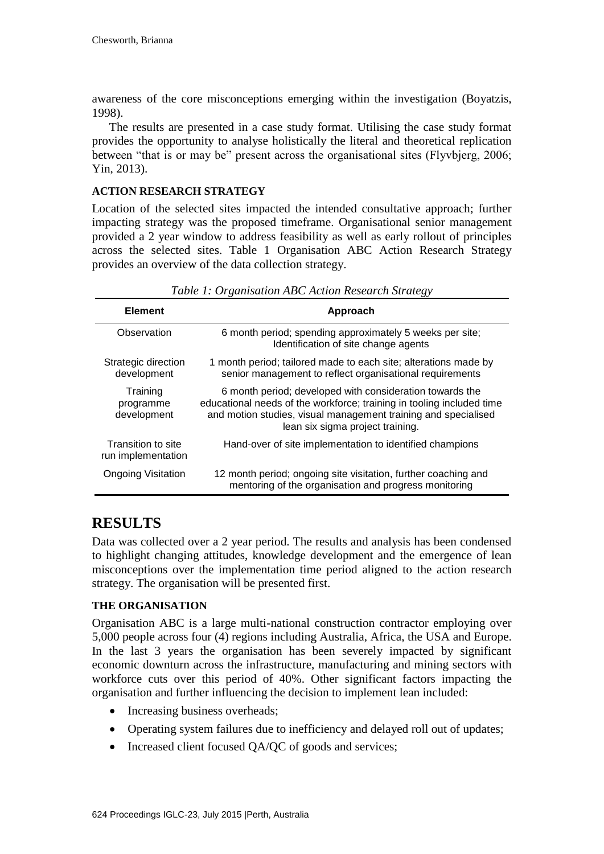awareness of the core misconceptions emerging within the investigation (Boyatzis, 1998).

The results are presented in a case study format. Utilising the case study format provides the opportunity to analyse holistically the literal and theoretical replication between "that is or may be" present across the organisational sites (Flyvbjerg, 2006; Yin, 2013).

#### **ACTION RESEARCH STRATEGY**

Location of the selected sites impacted the intended consultative approach; further impacting strategy was the proposed timeframe. Organisational senior management provided a 2 year window to address feasibility as well as early rollout of principles across the selected sites. Table 1 Organisation ABC Action Research Strategy provides an overview of the data collection strategy.

| Table 1: Organisation ABC Action Research Strategy |                                                                                                                                                                                                                                         |  |
|----------------------------------------------------|-----------------------------------------------------------------------------------------------------------------------------------------------------------------------------------------------------------------------------------------|--|
| <b>Element</b>                                     | Approach                                                                                                                                                                                                                                |  |
| Observation                                        | 6 month period; spending approximately 5 weeks per site;<br>Identification of site change agents                                                                                                                                        |  |
| Strategic direction<br>development                 | 1 month period; tailored made to each site; alterations made by<br>senior management to reflect organisational requirements                                                                                                             |  |
| Training<br>programme<br>development               | 6 month period; developed with consideration towards the<br>educational needs of the workforce; training in tooling included time<br>and motion studies, visual management training and specialised<br>lean six sigma project training. |  |
| Transition to site<br>run implementation           | Hand-over of site implementation to identified champions                                                                                                                                                                                |  |
| <b>Ongoing Visitation</b>                          | 12 month period; ongoing site visitation, further coaching and<br>mentoring of the organisation and progress monitoring                                                                                                                 |  |

*Table 1: Organisation ABC Action Research Strategy*

# **RESULTS**

Data was collected over a 2 year period. The results and analysis has been condensed to highlight changing attitudes, knowledge development and the emergence of lean misconceptions over the implementation time period aligned to the action research strategy. The organisation will be presented first.

#### **THE ORGANISATION**

Organisation ABC is a large multi-national construction contractor employing over 5,000 people across four (4) regions including Australia, Africa, the USA and Europe. In the last 3 years the organisation has been severely impacted by significant economic downturn across the infrastructure, manufacturing and mining sectors with workforce cuts over this period of 40%. Other significant factors impacting the organisation and further influencing the decision to implement lean included:

- Increasing business overheads;
- Operating system failures due to inefficiency and delayed roll out of updates;
- Increased client focused QA/QC of goods and services;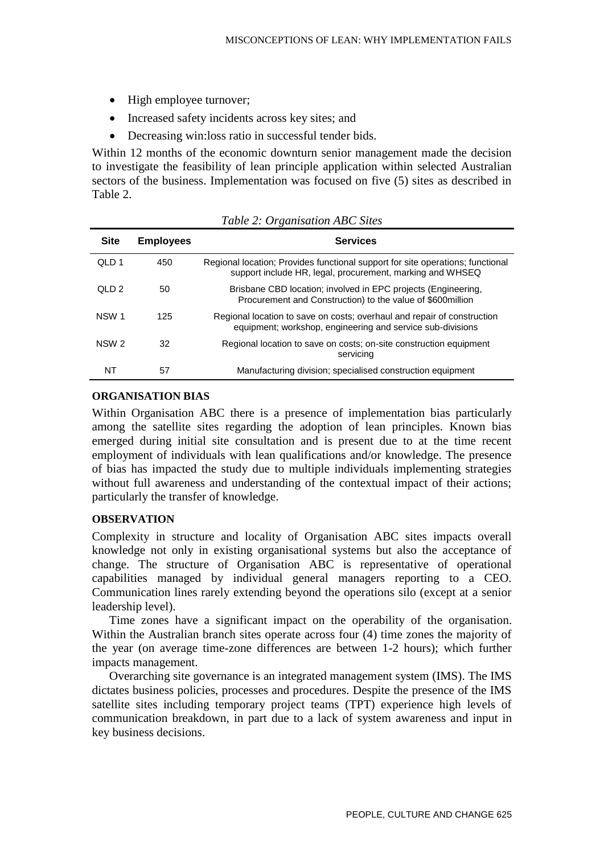- High employee turnover;
- Increased safety incidents across key sites; and
- Decreasing win:loss ratio in successful tender bids.

Within 12 months of the economic downturn senior management made the decision to investigate the feasibility of lean principle application within selected Australian sectors of the business. Implementation was focused on five (5) sites as described in Table 2.

| <b>Site</b>      | <b>Employees</b> | <b>Services</b>                                                                                                                             |
|------------------|------------------|---------------------------------------------------------------------------------------------------------------------------------------------|
| QLD 1            | 450              | Regional location; Provides functional support for site operations; functional<br>support include HR, legal, procurement, marking and WHSEQ |
| QLD2             | 50               | Brisbane CBD location; involved in EPC projects (Engineering,<br>Procurement and Construction) to the value of \$600million                 |
| NSW 1            | 125              | Regional location to save on costs; overhaul and repair of construction<br>equipment; workshop, engineering and service sub-divisions       |
| NSW <sub>2</sub> | 32               | Regional location to save on costs; on-site construction equipment<br>servicing                                                             |
| ΝT               | 57               | Manufacturing division; specialised construction equipment                                                                                  |

*Table 2: Organisation ABC Sites*

#### **ORGANISATION BIAS**

Within Organisation ABC there is a presence of implementation bias particularly among the satellite sites regarding the adoption of lean principles. Known bias emerged during initial site consultation and is present due to at the time recent employment of individuals with lean qualifications and/or knowledge. The presence of bias has impacted the study due to multiple individuals implementing strategies without full awareness and understanding of the contextual impact of their actions; particularly the transfer of knowledge.

#### **OBSERVATION**

Complexity in structure and locality of Organisation ABC sites impacts overall knowledge not only in existing organisational systems but also the acceptance of change. The structure of Organisation ABC is representative of operational capabilities managed by individual general managers reporting to a CEO. Communication lines rarely extending beyond the operations silo (except at a senior leadership level).

Time zones have a significant impact on the operability of the organisation. Within the Australian branch sites operate across four (4) time zones the majority of the year (on average time-zone differences are between 1-2 hours); which further impacts management.

Overarching site governance is an integrated management system (IMS). The IMS dictates business policies, processes and procedures. Despite the presence of the IMS satellite sites including temporary project teams (TPT) experience high levels of communication breakdown, in part due to a lack of system awareness and input in key business decisions.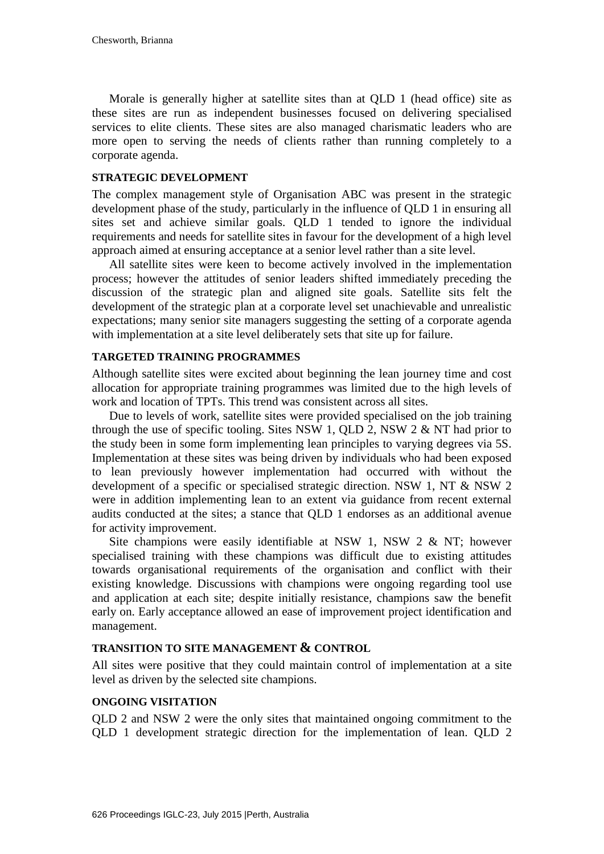Morale is generally higher at satellite sites than at QLD 1 (head office) site as these sites are run as independent businesses focused on delivering specialised services to elite clients. These sites are also managed charismatic leaders who are more open to serving the needs of clients rather than running completely to a corporate agenda.

#### **STRATEGIC DEVELOPMENT**

The complex management style of Organisation ABC was present in the strategic development phase of the study, particularly in the influence of QLD 1 in ensuring all sites set and achieve similar goals. QLD 1 tended to ignore the individual requirements and needs for satellite sites in favour for the development of a high level approach aimed at ensuring acceptance at a senior level rather than a site level.

All satellite sites were keen to become actively involved in the implementation process; however the attitudes of senior leaders shifted immediately preceding the discussion of the strategic plan and aligned site goals. Satellite sits felt the development of the strategic plan at a corporate level set unachievable and unrealistic expectations; many senior site managers suggesting the setting of a corporate agenda with implementation at a site level deliberately sets that site up for failure.

#### **TARGETED TRAINING PROGRAMMES**

Although satellite sites were excited about beginning the lean journey time and cost allocation for appropriate training programmes was limited due to the high levels of work and location of TPTs. This trend was consistent across all sites.

Due to levels of work, satellite sites were provided specialised on the job training through the use of specific tooling. Sites NSW 1, OLD 2, NSW 2  $\&$  NT had prior to the study been in some form implementing lean principles to varying degrees via 5S. Implementation at these sites was being driven by individuals who had been exposed to lean previously however implementation had occurred with without the development of a specific or specialised strategic direction. NSW 1, NT & NSW 2 were in addition implementing lean to an extent via guidance from recent external audits conducted at the sites; a stance that QLD 1 endorses as an additional avenue for activity improvement.

Site champions were easily identifiable at NSW 1, NSW 2 & NT; however specialised training with these champions was difficult due to existing attitudes towards organisational requirements of the organisation and conflict with their existing knowledge. Discussions with champions were ongoing regarding tool use and application at each site; despite initially resistance, champions saw the benefit early on. Early acceptance allowed an ease of improvement project identification and management.

#### **TRANSITION TO SITE MANAGEMENT & CONTROL**

All sites were positive that they could maintain control of implementation at a site level as driven by the selected site champions.

#### **ONGOING VISITATION**

QLD 2 and NSW 2 were the only sites that maintained ongoing commitment to the QLD 1 development strategic direction for the implementation of lean. QLD 2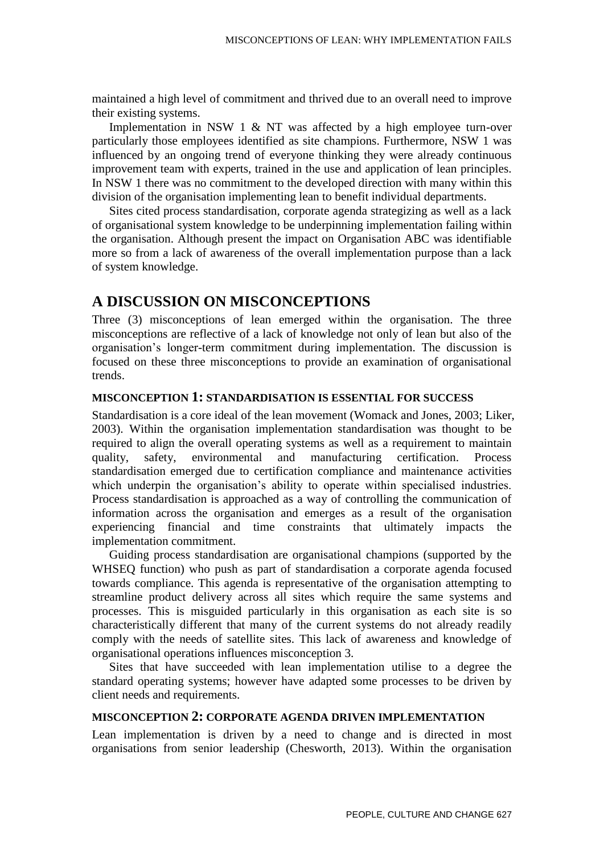maintained a high level of commitment and thrived due to an overall need to improve their existing systems.

Implementation in NSW 1 & NT was affected by a high employee turn-over particularly those employees identified as site champions. Furthermore, NSW 1 was influenced by an ongoing trend of everyone thinking they were already continuous improvement team with experts, trained in the use and application of lean principles. In NSW 1 there was no commitment to the developed direction with many within this division of the organisation implementing lean to benefit individual departments.

Sites cited process standardisation, corporate agenda strategizing as well as a lack of organisational system knowledge to be underpinning implementation failing within the organisation. Although present the impact on Organisation ABC was identifiable more so from a lack of awareness of the overall implementation purpose than a lack of system knowledge.

### **A DISCUSSION ON MISCONCEPTIONS**

Three (3) misconceptions of lean emerged within the organisation. The three misconceptions are reflective of a lack of knowledge not only of lean but also of the organisation's longer-term commitment during implementation. The discussion is focused on these three misconceptions to provide an examination of organisational trends.

#### **MISCONCEPTION 1: STANDARDISATION IS ESSENTIAL FOR SUCCESS**

Standardisation is a core ideal of the lean movement (Womack and Jones, 2003; Liker, 2003). Within the organisation implementation standardisation was thought to be required to align the overall operating systems as well as a requirement to maintain quality, safety, environmental and manufacturing certification. Process standardisation emerged due to certification compliance and maintenance activities which underpin the organisation's ability to operate within specialised industries. Process standardisation is approached as a way of controlling the communication of information across the organisation and emerges as a result of the organisation experiencing financial and time constraints that ultimately impacts the implementation commitment.

Guiding process standardisation are organisational champions (supported by the WHSEQ function) who push as part of standardisation a corporate agenda focused towards compliance. This agenda is representative of the organisation attempting to streamline product delivery across all sites which require the same systems and processes. This is misguided particularly in this organisation as each site is so characteristically different that many of the current systems do not already readily comply with the needs of satellite sites. This lack of awareness and knowledge of organisational operations influences misconception 3.

Sites that have succeeded with lean implementation utilise to a degree the standard operating systems; however have adapted some processes to be driven by client needs and requirements.

#### **MISCONCEPTION 2: CORPORATE AGENDA DRIVEN IMPLEMENTATION**

Lean implementation is driven by a need to change and is directed in most organisations from senior leadership (Chesworth, 2013). Within the organisation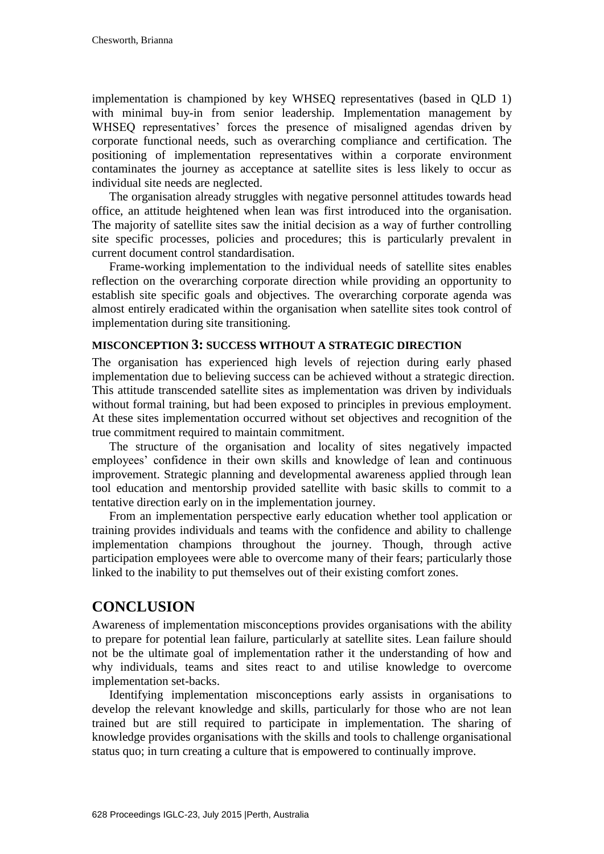implementation is championed by key WHSEQ representatives (based in QLD 1) with minimal buy-in from senior leadership. Implementation management by WHSEQ representatives' forces the presence of misaligned agendas driven by corporate functional needs, such as overarching compliance and certification. The positioning of implementation representatives within a corporate environment contaminates the journey as acceptance at satellite sites is less likely to occur as individual site needs are neglected.

The organisation already struggles with negative personnel attitudes towards head office, an attitude heightened when lean was first introduced into the organisation. The majority of satellite sites saw the initial decision as a way of further controlling site specific processes, policies and procedures; this is particularly prevalent in current document control standardisation.

Frame-working implementation to the individual needs of satellite sites enables reflection on the overarching corporate direction while providing an opportunity to establish site specific goals and objectives. The overarching corporate agenda was almost entirely eradicated within the organisation when satellite sites took control of implementation during site transitioning.

#### **MISCONCEPTION 3: SUCCESS WITHOUT A STRATEGIC DIRECTION**

The organisation has experienced high levels of rejection during early phased implementation due to believing success can be achieved without a strategic direction. This attitude transcended satellite sites as implementation was driven by individuals without formal training, but had been exposed to principles in previous employment. At these sites implementation occurred without set objectives and recognition of the true commitment required to maintain commitment.

The structure of the organisation and locality of sites negatively impacted employees' confidence in their own skills and knowledge of lean and continuous improvement. Strategic planning and developmental awareness applied through lean tool education and mentorship provided satellite with basic skills to commit to a tentative direction early on in the implementation journey.

From an implementation perspective early education whether tool application or training provides individuals and teams with the confidence and ability to challenge implementation champions throughout the journey. Though, through active participation employees were able to overcome many of their fears; particularly those linked to the inability to put themselves out of their existing comfort zones.

### **CONCLUSION**

Awareness of implementation misconceptions provides organisations with the ability to prepare for potential lean failure, particularly at satellite sites. Lean failure should not be the ultimate goal of implementation rather it the understanding of how and why individuals, teams and sites react to and utilise knowledge to overcome implementation set-backs.

Identifying implementation misconceptions early assists in organisations to develop the relevant knowledge and skills, particularly for those who are not lean trained but are still required to participate in implementation. The sharing of knowledge provides organisations with the skills and tools to challenge organisational status quo; in turn creating a culture that is empowered to continually improve.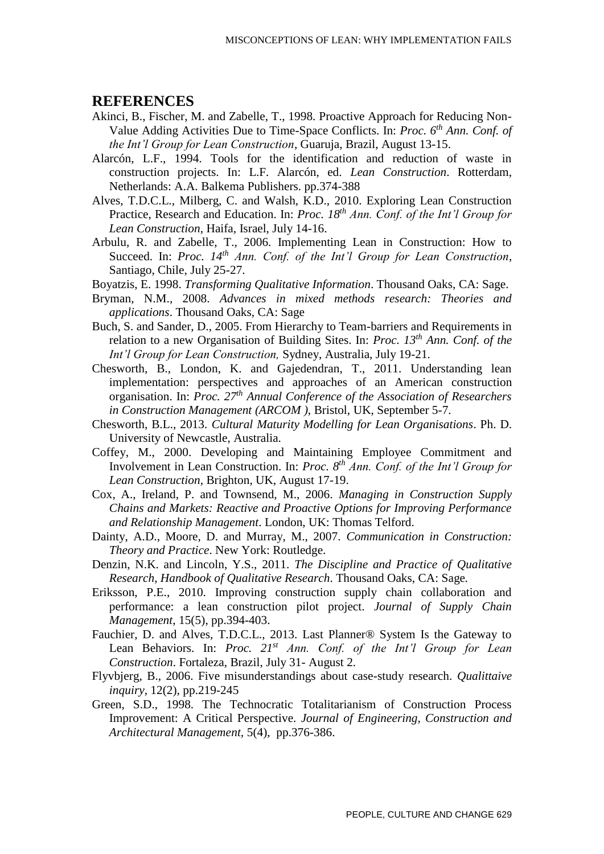#### **REFERENCES**

- Akinci, B., Fischer, M. and Zabelle, T., 1998. Proactive Approach for Reducing Non-Value Adding Activities Due to Time-Space Conflicts. In: *Proc. 6 th Ann. Conf. of the Int'l Group for Lean Construction,* Guaruja, Brazil, August 13-15.
- Alarcón, L.F., 1994. Tools for the identification and reduction of waste in construction projects. In: L.F. Alarcón, ed. *Lean Construction*. Rotterdam, Netherlands: A.A. Balkema Publishers. pp.374-388
- Alves, T.D.C.L., Milberg, C. and Walsh, K.D., 2010. Exploring Lean Construction Practice, Research and Education. In: *Proc. 18th Ann. Conf. of the Int'l Group for Lean Construction*, Haifa, Israel, July 14-16.
- Arbulu, R. and Zabelle, T., 2006. Implementing Lean in Construction: How to Succeed. In: *Proc. 14th Ann. Conf. of the Int'l Group for Lean Construction*, Santiago, Chile, July 25-27.
- Boyatzis, E. 1998. *Transforming Qualitative Information*. Thousand Oaks, CA: Sage.
- Bryman, N.M., 2008. *Advances in mixed methods research: Theories and applications*. Thousand Oaks, CA: Sage
- Buch, S. and Sander, D., 2005. From Hierarchy to Team-barriers and Requirements in relation to a new Organisation of Building Sites. In: *Proc. 13th Ann. Conf. of the Int'l Group for Lean Construction,* Sydney, Australia, July 19-21.
- Chesworth, B., London, K. and Gajedendran, T., 2011. Understanding lean implementation: perspectives and approaches of an American construction organisation. In: *Proc. 27th Annual Conference of the Association of Researchers in Construction Management (ARCOM )*, Bristol, UK, September 5-7.
- Chesworth, B.L., 2013. *Cultural Maturity Modelling for Lean Organisations*. Ph. D. University of Newcastle, Australia.
- Coffey, M., 2000. Developing and Maintaining Employee Commitment and Involvement in Lean Construction. In: *Proc. 8 th Ann. Conf. of the Int'l Group for Lean Construction,* Brighton, UK, August 17-19.
- Cox, A., Ireland, P. and Townsend, M., 2006. *Managing in Construction Supply Chains and Markets: Reactive and Proactive Options for Improving Performance and Relationship Management*. London, UK: Thomas Telford.
- Dainty, A.D., Moore, D. and Murray, M., 2007. *Communication in Construction: Theory and Practice*. New York: Routledge.
- Denzin, N.K. and Lincoln, Y.S., 2011. *The Discipline and Practice of Qualitative Research, Handbook of Qualitative Research*. Thousand Oaks, CA: Sage*.*
- Eriksson, P.E., 2010. Improving construction supply chain collaboration and performance: a lean construction pilot project. *Journal of Supply Chain Management*, 15(5), pp.394-403.
- Fauchier, D. and Alves, T.D.C.L., 2013. Last Planner® System Is the Gateway to Lean Behaviors. In: *Proc. 21st Ann. Conf. of the Int'l Group for Lean Construction*. Fortaleza, Brazil, July 31- August 2.
- Flyvbjerg, B., 2006. Five misunderstandings about case-study research. *Qualittaive inquiry*, 12(2), pp.219-245
- Green, S.D., 1998. The Technocratic Totalitarianism of Construction Process Improvement: A Critical Perspective. *Journal of Engineering, Construction and Architectural Management,* 5(4), pp.376-386.